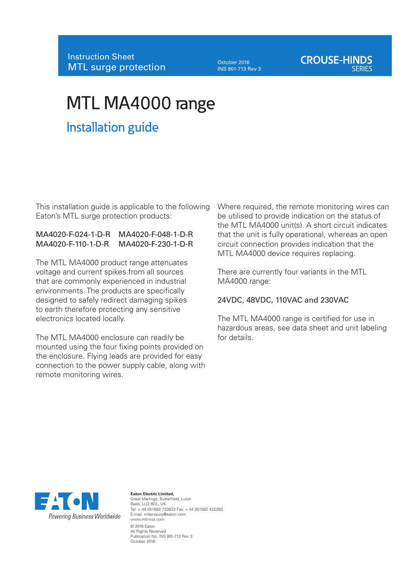October 2016 INS 801-713 Rev 3

# **CROUSE-HINDS**

# MTL MA4000 range

# Installation guide

This installation guide is applicable to the following Eaton's MTL surge protection products:

#### MA4020-F-024-1-D-R MA4020-F-048-1-D-R MA4020-F-110-1-D-R MA4020-F-230-1-D-R

The MTL MA4000 product range attenuates voltage and current spikes from all sources that are commonly experienced in industrial environments. The products are specifically designed to safely redirect damaging spikes to earth therefore protecting any sensitive electronics located locally.

The MTL MA4000 enclosure can readily be mounted using the four fixing points provided on the enclosure. Flying leads are provided for easy connection to the power supply cable, along with remote monitoring wires.

Where required, the remote monitoring wires can be utilised to provide indication on the status of the MTL MA4000 unit(s). A short circuit indicates that the unit is fully operational, whereas an open circuit connection provides indication that the MTL MA4000 device requires replacing.

There are currently four variants in the MTL MA4000 range:

#### 24VDC, 48VDC, 110VAC and 230VAC

The MTL MA4000 range is certified for use in hazardous areas, see data sheet and unit labeling for details.



**Eaton Electric Limited,**  Great Marlings, Butterfield, Luton Beds, LU2 8DL, UK. Tel: + 44 (0)1582 723633 Fax: + 44 (0)1582 422283 E-mail: mtlenquiry@eaton.com www.mtl-inst.com © 2016 Eaton All Rights Reserved Publication No. INS 801-713 Rev 3 October 2016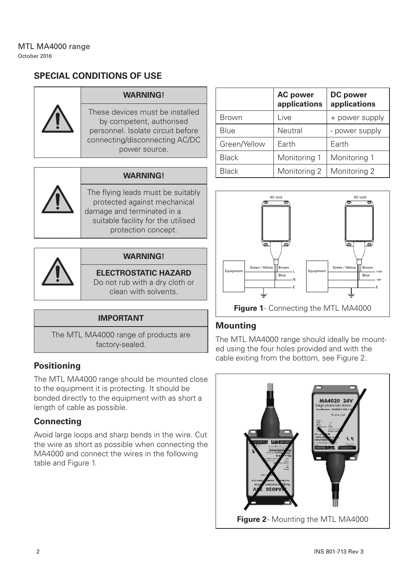# **SPECIAL CONDITIONS OF USE**



#### **WARNING!**

These devices must be installed by competent, authorised personnel. Isolate circuit before connecting/disconnecting AC/DC power source.

#### **WARNING!**

The flying leads must be suitably protected against mechanical damage and terminated in a suitable facility for the utilised protection concept.



#### **WARNING!**

#### **ELECTROSTATIC HAZARD**

Do not rub with a dry cloth or clean with solvents.

#### **IMPORTANT**

The MTL MA4000 range of products are factory-sealed.

### **Positioning**

The MTL MA4000 range should be mounted close to the equipment it is protecting. It should be bonded directly to the equipment with as short a length of cable as possible.

# **Connecting**

Avoid large loops and sharp bends in the wire. Cut the wire as short as possible when connecting the MA4000 and connect the wires in the following table and Figure 1.

|              | <b>AC</b> power<br>applications | DC power<br>applications |  |
|--------------|---------------------------------|--------------------------|--|
| Brown        | Live                            | + power supply           |  |
| Blue         | Neutral                         | - power supply           |  |
| Green/Yellow | Earth                           | Earth                    |  |
| <b>Black</b> | Monitoring 1                    | Monitoring 1             |  |
| Black        | Monitoring 2                    | Monitoring 2             |  |



# **Mounting**

The MTL MA4000 range should ideally be mounted using the four holes provided and with the cable exiting from the bottom, see Figure 2.

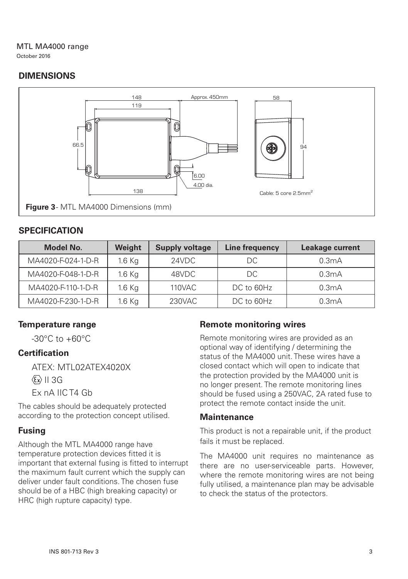#### MTL MA4000 range October 2016

# **DIMENSIONS**



# **SPECIFICATION**

| Model No.          | Weight   | <b>Supply voltage</b> | Line frequency | Leakage current |
|--------------------|----------|-----------------------|----------------|-----------------|
| MA4020-F-024-1-D-R | $1.6$ Kg | 24VDC                 | DC             | 0.3mA           |
| MA4020-F-048-1-D-R | $1.6$ Kg | 48VDC                 | DC             | 0.3mA           |
| MA4020-F-110-1-D-R | $1.6$ Kg | 110VAC                | DC to 60Hz     | 0.3mA           |
| MA4020-F-230-1-D-R | $1.6$ Kg | 230VAC                | DC to 60Hz     | 0.3mA           |

# **Temperature range**

 $-30^{\circ}$ C to  $+60^{\circ}$ C

# **Certification**

ATEX: MTL02ATEX4020X  $\langle \overline{\epsilon_x} \rangle$  II 3G Ex nA IIC T4 Gb

The cables should be adequately protected according to the protection concept utilised.

### **Fusing**

Although the MTL MA4000 range have temperature protection devices fitted it is important that external fusing is fitted to interrupt the maximum fault current which the supply can deliver under fault conditions. The chosen fuse should be of a HBC (high breaking capacity) or HRC (high rupture capacity) type.

# **Remote monitoring wires**

Remote monitoring wires are provided as an optional way of identifying / determining the status of the MA4000 unit. These wires have a closed contact which will open to indicate that the protection provided by the MA4000 unit is no longer present. The remote monitoring lines should be fused using a 250VAC, 2A rated fuse to protect the remote contact inside the unit.

#### **Maintenance**

This product is not a repairable unit, if the product fails it must be replaced.

The MA4000 unit requires no maintenance as there are no user-serviceable parts. However, where the remote monitoring wires are not being fully utilised, a maintenance plan may be advisable to check the status of the protectors.